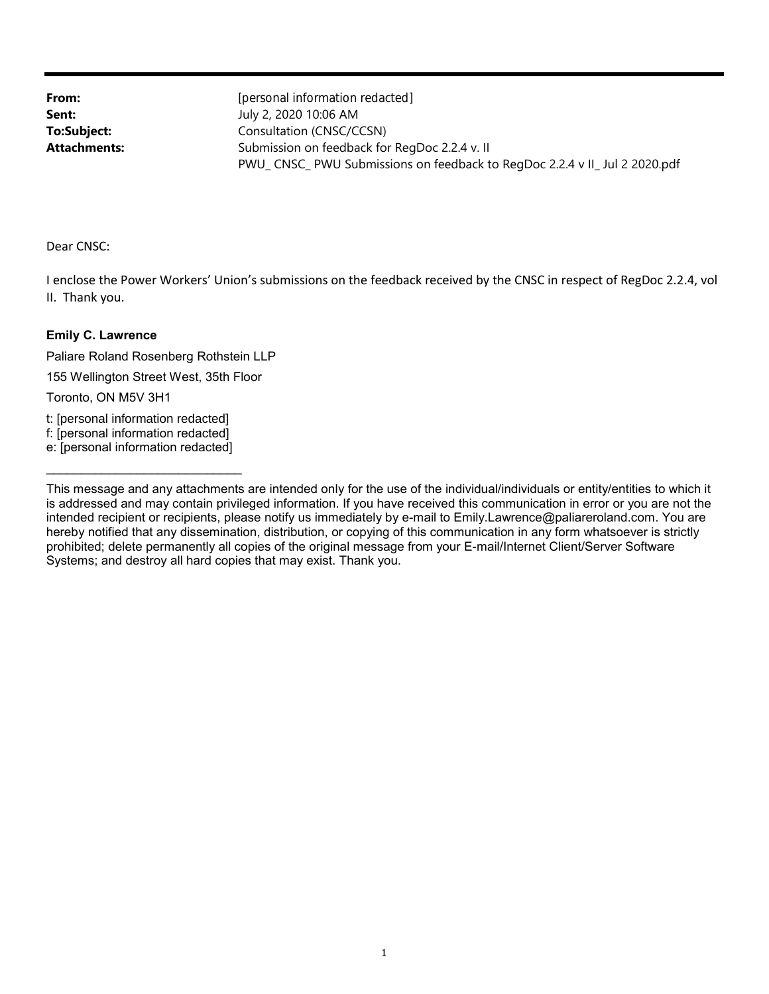**Attachments: To:Subject: Sent: From:**

PWU\_ CNSC\_ PWU Submissions on feedback to RegDoc 2.2.4 v II\_ Jul 2 2020.pdf Submission on feedback for RegDoc 2.2.4 v. II Consultation (CNSC/CCSN) July 2, 2020 10:06 AM [personal information redacted]

Dear CNSC:

II. Thank you. I enclose the Power Workers' Union's submissions on the feedback received by the CNSC in respect of RegDoc 2.2.4, vol

## **Emily C. Lawrence**

Paliare Roland Rosenberg Rothstein LLP

155 Wellington Street West, 35th Floor

Toronto, ON M5V 3H1

t: [personal information redacted]

f: [personal information redacted]

\_\_\_\_\_\_\_\_\_\_\_\_\_\_\_\_\_\_\_\_\_\_\_\_\_\_\_\_ e: [personal information redacted]

Systems; and destroy all hard copies that may exist. Thank you. prohibited; delete permanently all copies of the original message from your E-mail/Internet Client/Server Software hereby notified that any dissemination, distribution, or copying of this communication in any form whatsoever is strictly intended recipient or recipients, please notify us immediately by e-mail to Emily.Lawrence@paliareroland.com. You are is addressed and may contain privileged information. If you have received this communication in error or you are not the This message and any attachments are intended only for the use of the individual/individuals or entity/entities to which it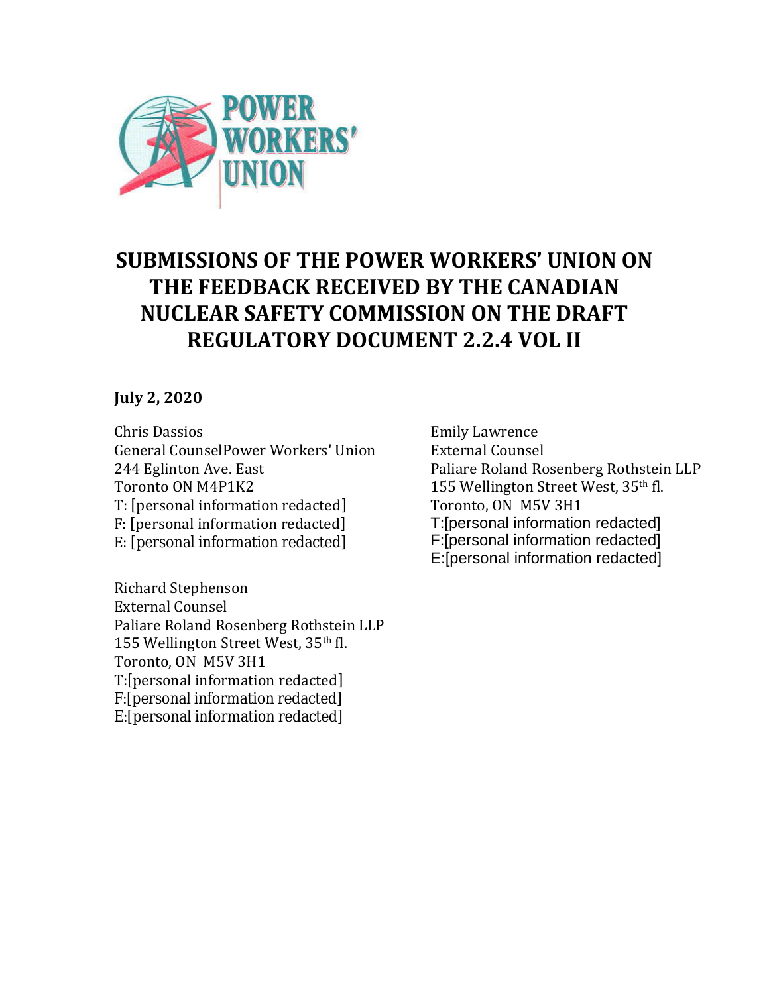

## **SUBMISSIONS OF THE POWER WORKERS' UNION ON THE FEEDBACK RECEIVED BY THE CANADIAN NUCLEAR SAFETY COMMISSION ON THE DRAFT REGULATORY DOCUMENT 2.2.4 VOL II**

## **July 2, 2020**

E: [personal information redacted] F: [personal information redacted] T: [personal information redacted] Toronto ON M4P1K2 244 Eglinton Ave. East General CounselPower Workers' Union Chris Dassios

 T:[personal information redacted] E:[personal information redacted] F:[personal information redacted] Toronto, ON M5V 3H1 155 Wellington Street West, 35th fl. Paliare Roland Rosenberg Rothstein LLP External Counsel Richard Stephenson

Emily Lawrence External Counsel Paliare Roland Rosenberg Rothstein LLP 155 Wellington Street West, 35th fl. Toronto, ON M5V 3H1 E:[personal information redacted] F:[personal information redacted] T:[personal information redacted]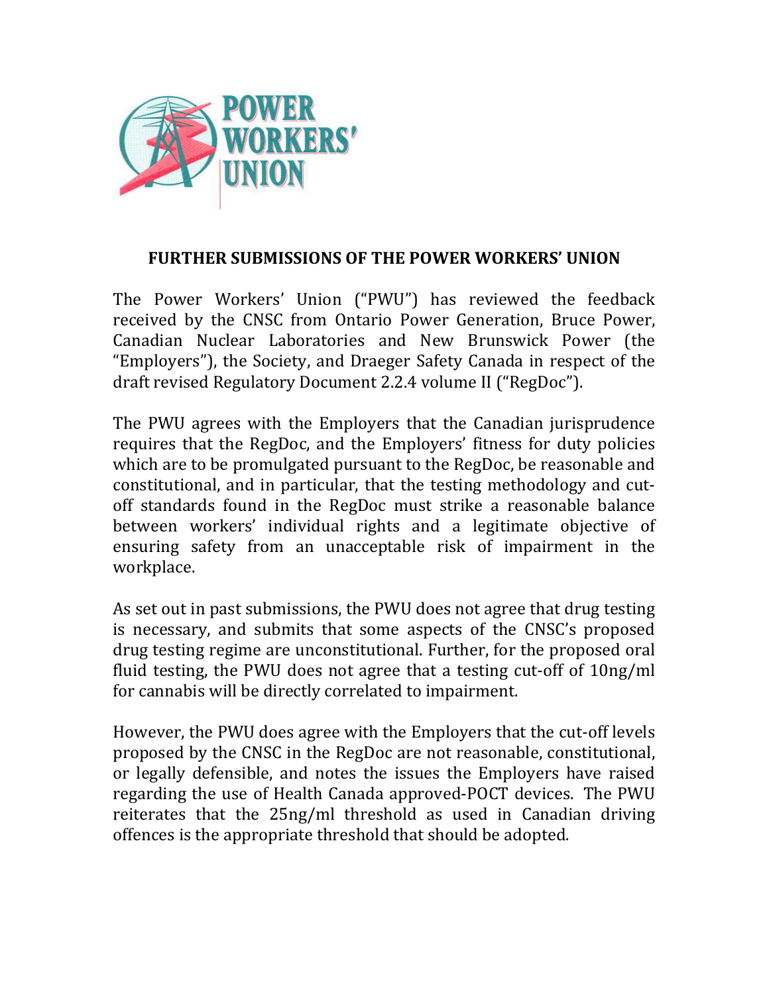

## **FURTHER SUBMISSIONS OF THE POWER WORKERS' UNION**

The Power Workers' Union ("PWU") has reviewed the feedback received by the CNSC from Ontario Power Generation, Bruce Power, Canadian Nuclear Laboratories and New Brunswick Power (the "Employers"), the Society, and Draeger Safety Canada in respect of the draft revised Regulatory Document 2.2.4 volume II ("RegDoc").

The PWU agrees with the Employers that the Canadian jurisprudence requires that the RegDoc, and the Employers' fitness for duty policies which are to be promulgated pursuant to the RegDoc, be reasonable and constitutional, and in particular, that the testing methodology and cutoff standards found in the RegDoc must strike a reasonable balance between workers' individual rights and a legitimate objective of ensuring safety from an unacceptable risk of impairment in the workplace.

As set out in past submissions, the PWU does not agree that drug testing is necessary, and submits that some aspects of the CNSC's proposed drug testing regime are unconstitutional. Further, for the proposed oral fluid testing, the PWU does not agree that a testing cut-off of 10ng/ml for cannabis will be directly correlated to impairment.

However, the PWU does agree with the Employers that the cut-off levels proposed by the CNSC in the RegDoc are not reasonable, constitutional, or legally defensible, and notes the issues the Employers have raised regarding the use of Health Canada approved-POCT devices. The PWU reiterates that the 25ng/ml threshold as used in Canadian driving offences is the appropriate threshold that should be adopted.